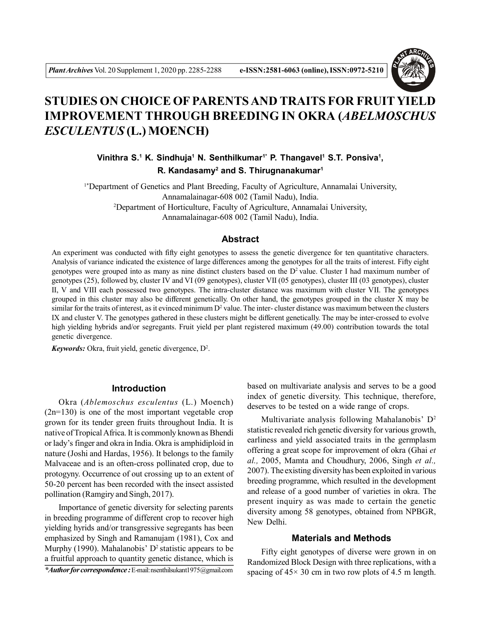

# **STUDIES ON CHOICE OF PARENTS AND TRAITS FOR FRUITYIELD IMPROVEMENT THROUGH BREEDING IN OKRA (***ABELMOSCHUS ESCULENTUS* **(L.) MOENCH)**

Vinithra S.<sup>1</sup> K. Sindhuja<sup>1</sup> N. Senthilkumar<sup>1\*</sup> P. Thangavel<sup>1</sup> S.T. Ponsiva<sup>1</sup>, **R. Kandasamy<sup>2</sup> and S. Thirugnanakumar<sup>1</sup>**

1\*Department of Genetics and Plant Breeding, Faculty of Agriculture, Annamalai University, Annamalainagar-608 002 (Tamil Nadu), India. <sup>2</sup>Department of Horticulture, Faculty of Agriculture, Annamalai University, Annamalainagar-608 002 (Tamil Nadu), India.

#### **Abstract**

An experiment was conducted with fifty eight genotypes to assess the genetic divergence for ten quantitative characters. Analysis of variance indicated the existence of large differences among the genotypes for all the traits of interest. Fifty eight genotypes were grouped into as many as nine distinct clusters based on the  $D<sup>2</sup>$  value. Cluster I had maximum number of genotypes (25), followed by, cluster IV and VI (09 genotypes), cluster VII (05 genotypes), cluster III (03 genotypes), cluster II, V and VIII each possessed two genotypes. The intra-cluster distance was maximum with cluster VII. The genotypes grouped in this cluster may also be different genetically. On other hand, the genotypes grouped in the cluster X may be similar for the traits of interest, as it evinced minimum  $D^2$  value. The inter-cluster distance was maximum between the clusters IX and cluster V. The genotypes gathered in these clusters might be different genetically. The may be inter-crossed to evolve high yielding hybrids and/or segregants. Fruit yield per plant registered maximum (49.00) contribution towards the total genetic divergence.

*Keywords:* Okra, fruit yield, genetic divergence, D<sup>2</sup> .

## **Introduction**

Okra (*Ablemoschus esculentus* (L.) Moench) (2n=130) is one of the most important vegetable crop grown for its tender green fruits throughout India. It is native of Tropical Africa. It is commonly known as Bhendi or lady's finger and okra in India. Okra is amphidiploid in nature (Joshi and Hardas, 1956). It belongs to the family Malvaceae and is an often-cross pollinated crop, due to protogyny. Occurrence of out crossing up to an extent of 50-20 percent has been recorded with the insect assisted pollination (Ramgiry and Singh, 2017).

Importance of genetic diversity for selecting parents in breeding programme of different crop to recover high yielding hyrids and/or transgressive segregants has been emphasized by Singh and Ramanujam (1981), Cox and Murphy (1990). Mahalanobis'  $D^2$  statistic appears to be a fruitful approach to quantity genetic distance, which is

*\*Author for correspondence :*E-mail: nsenthilsukant1975@gmail.com

based on multivariate analysis and serves to be a good index of genetic diversity. This technique, therefore, deserves to be tested on a wide range of crops.

Multivariate analysis following Mahalanobis' D<sup>2</sup> statistic revealed rich genetic diversity for various growth, earliness and yield associated traits in the germplasm offering a great scope for improvement of okra (Ghai *et al.,* 2005, Mamta and Choudhury, 2006, Singh *et al.,* 2007). The existing diversity has been exploited in various breeding programme, which resulted in the development and release of a good number of varieties in okra. The present inquiry as was made to certain the genetic diversity among 58 genotypes, obtained from NPBGR, New Delhi.

#### **Materials and Methods**

Fifty eight genotypes of diverse were grown in on Randomized Block Design with three replications, with a spacing of  $45 \times 30$  cm in two row plots of 4.5 m length.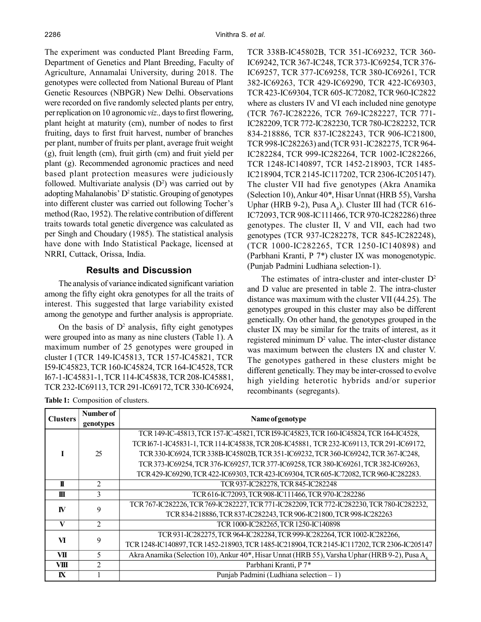The experiment was conducted Plant Breeding Farm, Department of Genetics and Plant Breeding, Faculty of Agriculture, Annamalai University, during 2018. The genotypes were collected from National Bureau of Plant Genetic Resources (NBPGR) New Delhi. Observations were recorded on five randomly selected plants per entry, per replication on 10 agronomic *viz.,* days to first flowering, plant height at maturity (cm), number of nodes to first fruiting, days to first fruit harvest, number of branches per plant, number of fruits per plant, average fruit weight (g), fruit length (cm), fruit girth (cm) and fruit yield per plant (g). Recommended agronomic practices and need based plant protection measures were judiciously followed. Multivariate analysis  $(D^2)$  was carried out by adopting Mahalanobis' D<sup>2</sup> statistic. Grouping of genotypes into different cluster was carried out following Tocher's method (Rao, 1952). The relative contribution of different traits towards total genetic divergence was calculated as per Singh and Choudary (1985). The statistical analysis have done with Indo Statistical Package, licensed at NRRI, Cuttack, Orissa, India.

### **Results and Discussion**

The analysis of variance indicated significant variation among the fifty eight okra genotypes for all the traits of interest. This suggested that large variability existed among the genotype and further analysis is appropriate.

On the basis of  $D^2$  analysis, fifty eight genotypes were grouped into as many as nine clusters (Table 1). A maximum number of 25 genotypes were grouped in cluster I (TCR 149-IC45813, TCR 157-IC45821, TCR I59-IC45823, TCR 160-IC45824, TCR 164-IC4528, TCR I67-1-IC45831-1, TCR 114-IC45838, TCR 208-IC45881, TCR 232-IC69113, TCR 291-IC69172, TCR 330-IC6924,

TCR 338B-IC45802B, TCR 351-IC69232, TCR 360- IC69242, TCR 367-IC248, TCR 373-IC69254,TCR 376- IC69257, TCR 377-IC69258, TCR 380-IC69261, TCR 382-IC69263, TCR 429-IC69290, TCR 422-IC69303, TCR 423-IC69304, TCR 605-IC72082, TCR 960-IC2822 where as clusters IV and VI each included nine genotype (TCR 767-IC282226, TCR 769-IC282227, TCR 771- IC282209, TCR 772-IC282230, TCR 780-IC282232, TCR 834-218886, TCR 837-IC282243, TCR 906-IC21800, TCR 998-IC282263) and (TCR 931-IC282275, TCR 964- IC282284, TCR 999-IC282264, TCR 1002-IC282266, TCR 1248-IC140897, TCR 1452-218903, TCR 1485- IC218904, TCR 2145-IC117202, TCR 2306-IC205147). The cluster VII had five genotypes (Akra Anamika (Selection 10), Ankur 40\*, Hisar Unnat (HRB 55), Varsha Uphar (HRB 9-2), Pusa  $A_4$ ). Cluster III had (TCR 616-IC72093, TCR 908-IC111466, TCR 970-IC282286) three genotypes. The cluster II, V and VII, each had two genotypes (TCR 937-IC282278, TCR 845-IC282248), (TCR 1000-IC282265, TCR 1250-IC140898) and (Parbhani Kranti, P 7\*) cluster IX was monogenotypic. (Punjab Padmini Ludhiana selection-1).

The estimates of intra-cluster and inter-cluster  $D^2$ and D value are presented in table 2. The intra-cluster distance was maximum with the cluster VII (44.25). The genotypes grouped in this cluster may also be different genetically. On other hand, the genotypes grouped in the cluster IX may be similar for the traits of interest, as it registered minimum  $D^2$  value. The inter-cluster distance was maximum between the clusters IX and cluster V. The genotypes gathered in these clusters might be different genetically. They may be inter-crossed to evolve high yielding heterotic hybrids and/or superior recombinants (segregants).

| <b>Clusters</b> | Number of               |                                                                                               |  |  |  |  |  |
|-----------------|-------------------------|-----------------------------------------------------------------------------------------------|--|--|--|--|--|
|                 | genotypes               | Name of genotype                                                                              |  |  |  |  |  |
|                 | 25                      | TCR 149-IC-45813, TCR 157-IC-45821, TCR I59-IC45823, TCR 160-IC45824, TCR 164-IC4528,         |  |  |  |  |  |
|                 |                         | TCR I67-1-IC45831-1, TCR 114-IC45838, TCR 208-IC45881, TCR 232-IC69113, TCR 291-IC69172,      |  |  |  |  |  |
|                 |                         | TCR 330-IC6924, TCR 338B-IC45802B, TCR 351-IC69232, TCR 360-IC69242, TCR 367-IC248,           |  |  |  |  |  |
|                 |                         | TCR 373-IC69254, TCR 376-IC69257, TCR 377-IC69258, TCR 380-IC69261, TCR 382-IC69263,          |  |  |  |  |  |
|                 |                         | TCR 429-IC69290, TCR 422-IC69303, TCR 423-IC69304, TCR 605-IC72082, TCR 960-IC282283.         |  |  |  |  |  |
| $\mathbf{I}$    | 2                       | TCR 937-IC282278, TCR 845-IC282248                                                            |  |  |  |  |  |
| Ш               | 3                       | TCR 616-IC72093, TCR 908-IC111466, TCR 970-IC282286                                           |  |  |  |  |  |
| <b>IV</b>       | 9                       | TCR 767-IC282226, TCR 769-IC282227, TCR 771-IC282209, TCR 772-IC282230, TCR 780-IC282232,     |  |  |  |  |  |
|                 |                         | TCR 834-218886, TCR 837-IC282243, TCR 906-IC21800, TCR 998-IC282263                           |  |  |  |  |  |
| V               | $\overline{2}$          | TCR 1000-IC282265, TCR 1250-IC140898                                                          |  |  |  |  |  |
| $\mathbf{V}$    | 9                       | TCR 931-IC282275, TCR 964-IC282284, TCR 999-IC282264, TCR 1002-IC282266,                      |  |  |  |  |  |
|                 |                         | TCR 1248-IC140897, TCR 1452-218903, TCR 1485-IC218904, TCR 2145-IC117202, TCR 2306-IC205147   |  |  |  |  |  |
| VII             | 5                       | Akra Anamika (Selection 10), Ankur 40*, Hisar Unnat (HRB 55), Varsha Uphar (HRB 9-2), Pusa A. |  |  |  |  |  |
| VIII            | $\overline{\mathbf{c}}$ | Parbhani Kranti, P 7*                                                                         |  |  |  |  |  |
| $\mathbf{N}$    |                         | Punjab Padmini (Ludhiana selection - 1)                                                       |  |  |  |  |  |

**Table 1:** Composition of clusters.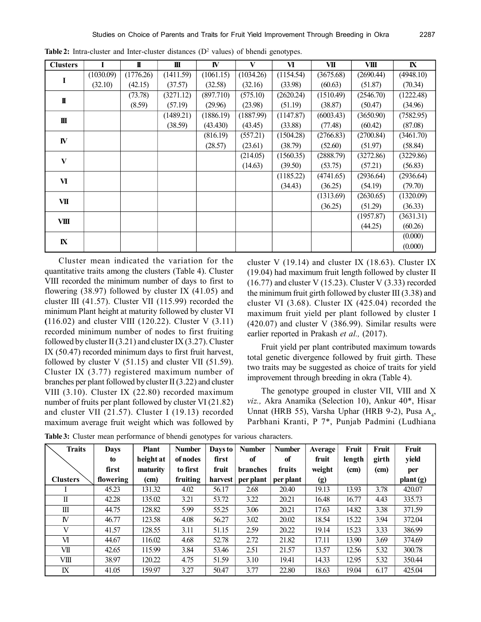| <b>Clusters</b> |           | I         | Ш         | IV        | V         | $\overline{\mathbf{M}}$ | VII                             | VШ        | ${\bf K}$ |
|-----------------|-----------|-----------|-----------|-----------|-----------|-------------------------|---------------------------------|-----------|-----------|
|                 | (1030.09) | (1776.26) | (1411.59) | (1061.15) | (1034.26) | (1154.54)               | (3675.68)                       | (2690.44) | (4948.10) |
| I               | (32.10)   | (42.15)   | (37.57)   | (32.58)   | (32.16)   | (33.98)                 | (60.63)                         | (51.87)   | (70.34)   |
| $\mathbf I$     |           | (73.78)   | (3271.12) | (897.710) | (575.10)  | (2620.24)               | (1510.49)                       | (2546.70) | (1222.48) |
|                 |           | (8.59)    | (57.19)   | (29.96)   | (23.98)   | (51.19)                 | (38.87)                         | (50.47)   | (34.96)   |
| Ш               |           |           | (1489.21) | (1886.19) | (1887.99) | (1147.87)               | (6003.43)                       | (3650.90) | (7582.95) |
|                 |           |           | (38.59)   | (43.430)  | (43.45)   | (33.88)                 | (77.48)                         | (60.42)   | (87.08)   |
|                 |           |           |           | (816.19)  | (557.21)  | (1504.28)               | (2766.83)                       | (2700.84) | (3461.70) |
| IV              |           |           |           | (28.57)   | (23.61)   | (38.79)                 | (52.60)                         | (51.97)   | (58.84)   |
| $\mathbf{V}$    |           |           |           |           | (214.05)  | (1560.35)               | (2888.79)                       | (3272.86) | (3229.86) |
|                 |           |           |           |           | (14.63)   | (39.50)                 | (53.75)                         | (57.21)   | (56.83)   |
| VI              |           |           |           |           |           | (1185.22)               | (4741.65)                       | (2936.64) | (2936.64) |
|                 |           |           |           |           |           | (34.43)                 | (36.25)<br>(1313.69)<br>(36.25) | (54.19)   | (79.70)   |
| VII             |           |           |           |           |           |                         |                                 | (2630.65) | (1320.09) |
|                 |           |           |           |           |           |                         |                                 | (51.29)   | (36.33)   |
| VШ              |           |           |           |           |           |                         |                                 | (1957.87) | (3631.31) |
|                 |           |           |           |           |           |                         |                                 | (44.25)   | (60.26)   |
|                 |           |           |           |           |           |                         |                                 |           | (0.000)   |
| ${\bf I}$       |           |           |           |           |           |                         |                                 |           | (0.000)   |

**Table 2:** Intra-cluster and Inter-cluster distances  $(D^2 \text{ values})$  of bhendi genotypes.

Cluster mean indicated the variation for the quantitative traits among the clusters (Table 4). Cluster VIII recorded the minimum number of days to first to flowering  $(38.97)$  followed by cluster IX  $(41.05)$  and cluster III (41.57). Cluster VII (115.99) recorded the minimum Plant height at maturity followed by cluster VI **(**116.02) and cluster VIII (120.22). Cluster V (3.11) recorded minimum number of nodes to first fruiting followed by cluster II  $(3.21)$  and cluster IX  $(3.27)$ . Cluster IX (50.47) recorded minimum days to first fruit harvest, followed by cluster V  $(51.15)$  and cluster VII  $(51.59)$ . Cluster IX (3.77) registered maximum number of branches per plant followed by cluster II (3.22) and cluster VIII (3.10). Cluster IX (22.80) recorded maximum number of fruits per plant followed by cluster VI (21.82) and cluster VII (21.57). Cluster I (19.13) recorded maximum average fruit weight which was followed by

cluster V (19.14) and cluster IX (18.63). Cluster IX (19.04) had maximum fruit length followed by cluster II  $(16.77)$  and cluster V $(15.23)$ . Cluster V $(3.33)$  recorded the minimum fruit girth followed by cluster III (3.38) and cluster VI (3.68). Cluster IX (425.04) recorded the maximum fruit yield per plant followed by cluster I  $(420.07)$  and cluster V  $(386.99)$ . Similar results were earlier reported in Prakash *et al.,* (2017).

Fruit yield per plant contributed maximum towards total genetic divergence followed by fruit girth. These two traits may be suggested as choice of traits for yield improvement through breeding in okra (Table 4).

The genotype grouped in cluster VII, VIII and X *viz.,* Akra Anamika (Selection 10), Ankur 40\*, Hisar Unnat (HRB 55), Varsha Uphar (HRB 9-2), Pusa  $A_4$ , Parbhani Kranti, P 7\*, Punjab Padmini (Ludhiana

**Table 3:** Cluster mean performance of bhendi genotypes for various characters.

| <b>Traits</b>   | <b>Days</b> | <b>Plant</b> | <b>Number</b> | Days to | <b>Number</b> | <b>Number</b> | Average | Fruit  | Fruit | Fruit    |
|-----------------|-------------|--------------|---------------|---------|---------------|---------------|---------|--------|-------|----------|
|                 | to          | height at    | of nodes      | first   | of            | of            | fruit   | length | girth | yield    |
|                 | first       | maturity     | to first      | fruit   | branches      | fruits        | weight  | (cm)   | (cm)  | per      |
| <b>Clusters</b> | flowering   | (cm)         | fruiting      | harvest | per plant     | per plant     | (g)     |        |       | plant(g) |
|                 | 45.23       | 131.32       | 4.02          | 56.17   | 2.68          | 20.40         | 19.13   | 13.93  | 3.78  | 420.07   |
| П               | 42.28       | 135.02       | 3.21          | 53.72   | 3.22          | 20.21         | 16.48   | 16.77  | 4.43  | 335.73   |
| Ш               | 44.75       | 128.82       | 5.99          | 55.25   | 3.06          | 20.21         | 17.63   | 14.82  | 3.38  | 371.59   |
| <b>IV</b>       | 46.77       | 123.58       | 4.08          | 56.27   | 3.02          | 20.02         | 18.54   | 15.22  | 3.94  | 372.04   |
| V               | 41.57       | 128.55       | 3.11          | 51.15   | 2.59          | 20.22         | 19.14   | 15.23  | 3.33  | 386.99   |
| M               | 44.67       | 116.02       | 4.68          | 52.78   | 2.72          | 21.82         | 17.11   | 13.90  | 3.69  | 374.69   |
| VІІ             | 42.65       | 115.99       | 3.84          | 53.46   | 2.51          | 21.57         | 13.57   | 12.56  | 5.32  | 300.78   |
| VШ              | 38.97       | 120.22       | 4.75          | 51.59   | 3.10          | 19.41         | 14.33   | 12.95  | 5.32  | 350.44   |
| $\mathbf{I}$ X  | 41.05       | 159.97       | 3.27          | 50.47   | 3.77          | 22.80         | 18.63   | 19.04  | 6.17  | 425.04   |